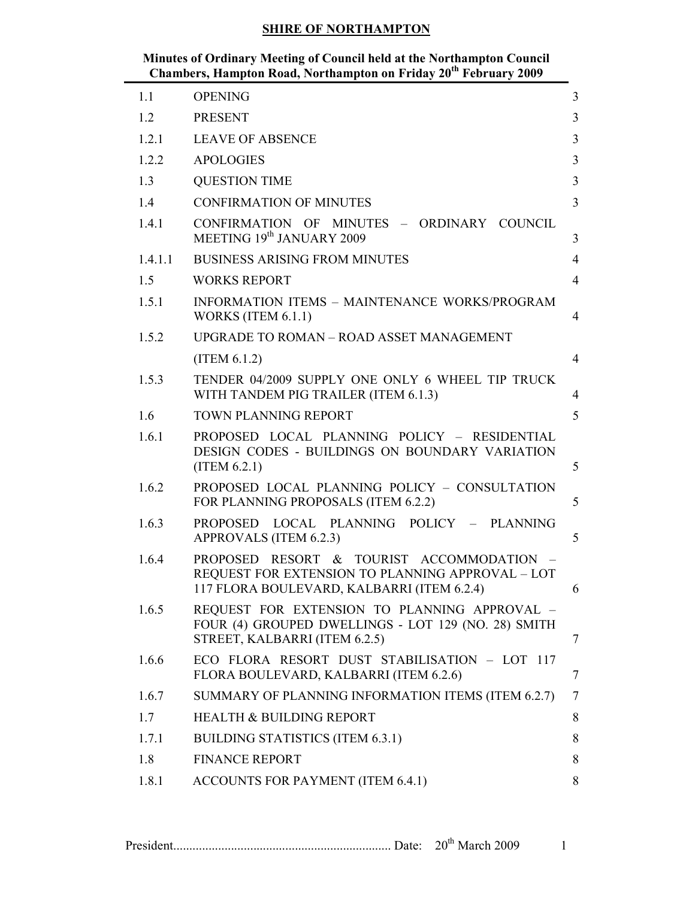| Minutes of Ordinary Meeting of Council held at the Northampton Council       |  |
|------------------------------------------------------------------------------|--|
| Chambers, Hampton Road, Northampton on Friday 20 <sup>th</sup> February 2009 |  |

| 1.1     | <b>OPENING</b>                                                                                                                              | 3              |
|---------|---------------------------------------------------------------------------------------------------------------------------------------------|----------------|
| 1.2     | <b>PRESENT</b>                                                                                                                              | $\overline{3}$ |
| 1.2.1   | <b>LEAVE OF ABSENCE</b>                                                                                                                     | 3              |
| 1.2.2   | <b>APOLOGIES</b>                                                                                                                            | 3              |
| 1.3     | <b>QUESTION TIME</b>                                                                                                                        | 3              |
| 1.4     | <b>CONFIRMATION OF MINUTES</b>                                                                                                              | 3              |
| 1.4.1   | CONFIRMATION OF MINUTES - ORDINARY COUNCIL<br>MEETING 19 <sup>th</sup> JANUARY 2009                                                         | 3              |
| 1.4.1.1 | <b>BUSINESS ARISING FROM MINUTES</b>                                                                                                        | $\overline{4}$ |
| 1.5     | <b>WORKS REPORT</b>                                                                                                                         | $\overline{4}$ |
| 1.5.1   | <b>INFORMATION ITEMS - MAINTENANCE WORKS/PROGRAM</b><br>WORKS (ITEM $6.1.1$ )                                                               | $\overline{4}$ |
| 1.5.2   | UPGRADE TO ROMAN - ROAD ASSET MANAGEMENT                                                                                                    |                |
|         | (ITERM 6.1.2)                                                                                                                               | $\overline{4}$ |
| 1.5.3   | TENDER 04/2009 SUPPLY ONE ONLY 6 WHEEL TIP TRUCK<br>WITH TANDEM PIG TRAILER (ITEM 6.1.3)                                                    | $\overline{4}$ |
| 1.6     | <b>TOWN PLANNING REPORT</b>                                                                                                                 | 5              |
| 1.6.1   | PROPOSED LOCAL PLANNING POLICY - RESIDENTIAL<br>DESIGN CODES - BUILDINGS ON BOUNDARY VARIATION<br>(ITERM 6.2.1)                             | 5              |
| 1.6.2   | PROPOSED LOCAL PLANNING POLICY - CONSULTATION<br>FOR PLANNING PROPOSALS (ITEM 6.2.2)                                                        | 5              |
| 1.6.3   | PROPOSED LOCAL PLANNING POLICY - PLANNING<br>APPROVALS (ITEM 6.2.3)                                                                         | 5              |
| 1.6.4   | PROPOSED RESORT & TOURIST ACCOMMODATION -<br>REQUEST FOR EXTENSION TO PLANNING APPROVAL - LOT<br>117 FLORA BOULEVARD, KALBARRI (ITEM 6.2.4) | 6              |
| 1.6.5   | REQUEST FOR EXTENSION TO PLANNING APPROVAL -<br>FOUR (4) GROUPED DWELLINGS - LOT 129 (NO. 28) SMITH<br>STREET, KALBARRI (ITEM 6.2.5)        | 7              |
| 1.6.6   | ECO FLORA RESORT DUST STABILISATION - LOT 117<br>FLORA BOULEVARD, KALBARRI (ITEM 6.2.6)                                                     | 7              |
| 1.6.7   | SUMMARY OF PLANNING INFORMATION ITEMS (ITEM 6.2.7)                                                                                          | $\overline{7}$ |
| 1.7     | <b>HEALTH &amp; BUILDING REPORT</b>                                                                                                         | 8              |
| 1.7.1   | <b>BUILDING STATISTICS (ITEM 6.3.1)</b>                                                                                                     | 8              |
| 1.8     | <b>FINANCE REPORT</b>                                                                                                                       | 8              |
| 1.8.1   | ACCOUNTS FOR PAYMENT (ITEM 6.4.1)                                                                                                           | 8              |
|         |                                                                                                                                             |                |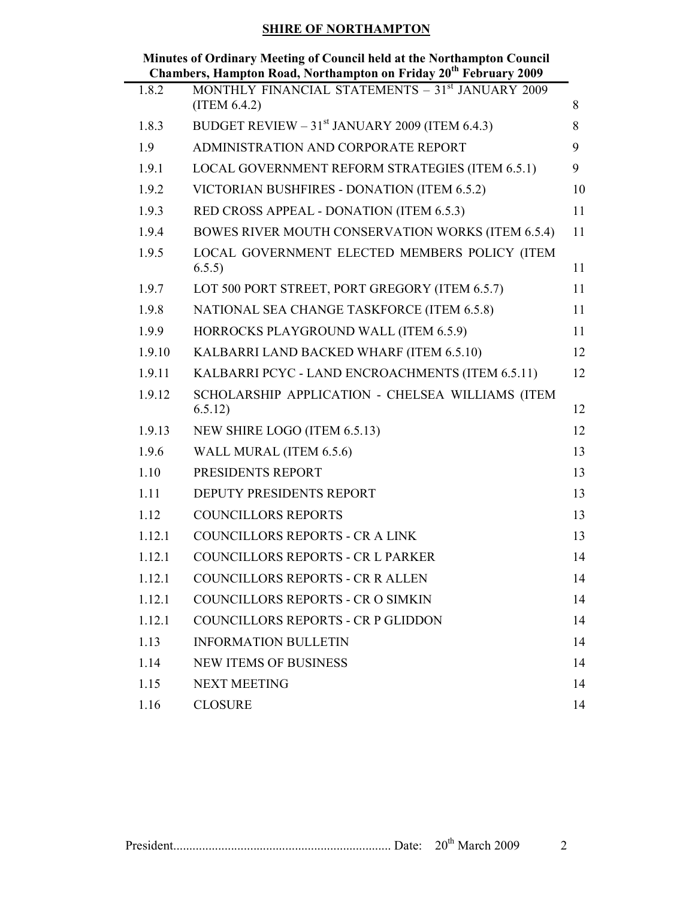| Minutes of Ordinary Meeting of Council held at the Northampton Council       |  |
|------------------------------------------------------------------------------|--|
| Chambers, Hampton Road, Northampton on Friday 20 <sup>th</sup> February 2009 |  |

|        | Chambers, Hampton Koau, Pol thampton on Friuay 20 Trebitially 2007            |    |
|--------|-------------------------------------------------------------------------------|----|
| 1.8.2  | MONTHLY FINANCIAL STATEMENTS - 31 <sup>st</sup> JANUARY 2009<br>(ITERM 6.4.2) | 8  |
| 1.8.3  | BUDGET REVIEW $-31st$ JANUARY 2009 (ITEM 6.4.3)                               | 8  |
| 1.9    | ADMINISTRATION AND CORPORATE REPORT                                           | 9  |
| 1.9.1  | LOCAL GOVERNMENT REFORM STRATEGIES (ITEM 6.5.1)                               | 9  |
| 1.9.2  | VICTORIAN BUSHFIRES - DONATION (ITEM 6.5.2)                                   | 10 |
| 1.9.3  | RED CROSS APPEAL - DONATION (ITEM 6.5.3)                                      | 11 |
| 1.9.4  | BOWES RIVER MOUTH CONSERVATION WORKS (ITEM 6.5.4)                             | 11 |
| 1.9.5  | LOCAL GOVERNMENT ELECTED MEMBERS POLICY (ITEM<br>6.5.5)                       | 11 |
| 1.9.7  | LOT 500 PORT STREET, PORT GREGORY (ITEM 6.5.7)                                | 11 |
| 1.9.8  | NATIONAL SEA CHANGE TASKFORCE (ITEM 6.5.8)                                    | 11 |
| 1.9.9  | HORROCKS PLAYGROUND WALL (ITEM 6.5.9)                                         | 11 |
| 1.9.10 | KALBARRI LAND BACKED WHARF (ITEM 6.5.10)                                      | 12 |
| 1.9.11 | KALBARRI PCYC - LAND ENCROACHMENTS (ITEM 6.5.11)                              | 12 |
| 1.9.12 | SCHOLARSHIP APPLICATION - CHELSEA WILLIAMS (ITEM<br>6.5.12)                   | 12 |
| 1.9.13 | NEW SHIRE LOGO (ITEM 6.5.13)                                                  | 12 |
| 1.9.6  | WALL MURAL (ITEM 6.5.6)                                                       | 13 |
| 1.10   | PRESIDENTS REPORT                                                             | 13 |
| 1.11   | DEPUTY PRESIDENTS REPORT                                                      | 13 |
| 1.12   | <b>COUNCILLORS REPORTS</b>                                                    | 13 |
| 1.12.1 | <b>COUNCILLORS REPORTS - CR A LINK</b>                                        | 13 |
| 1.12.1 | <b>COUNCILLORS REPORTS - CR L PARKER</b>                                      | 14 |
| 1.12.1 | <b>COUNCILLORS REPORTS - CR R ALLEN</b>                                       | 14 |
| 1.12.1 | <b>COUNCILLORS REPORTS - CR O SIMKIN</b>                                      | 14 |
| 1.12.1 | COUNCILLORS REPORTS - CR P GLIDDON                                            | 14 |
| 1.13   | <b>INFORMATION BULLETIN</b>                                                   | 14 |
| 1.14   | <b>NEW ITEMS OF BUSINESS</b>                                                  | 14 |
| 1.15   | <b>NEXT MEETING</b>                                                           | 14 |
| 1.16   | <b>CLOSURE</b>                                                                | 14 |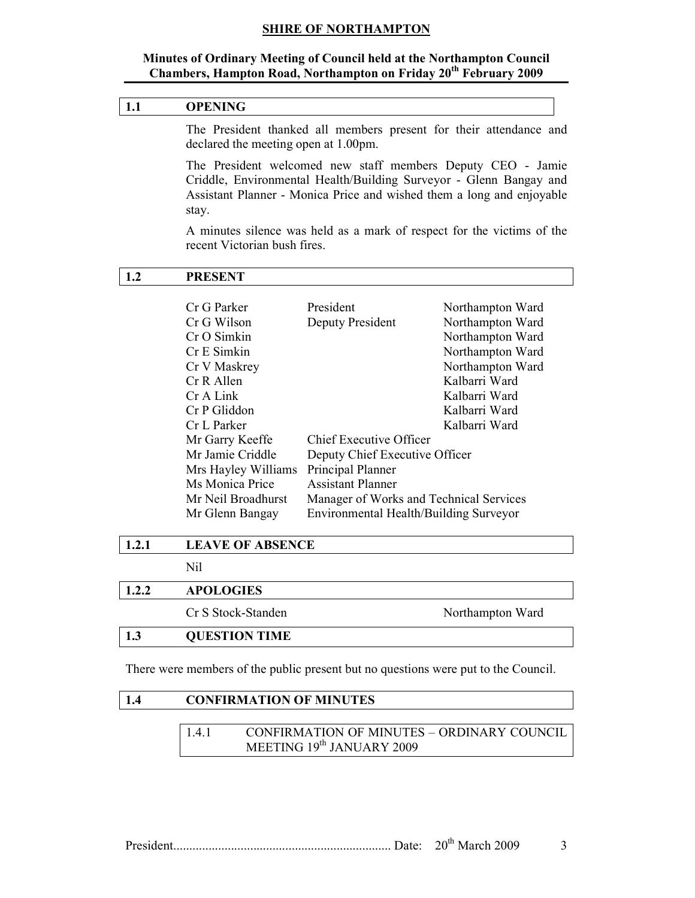#### Minutes of Ordinary Meeting of Council held at the Northampton Council Chambers, Hampton Road, Northampton on Friday 20<sup>th</sup> February 2009

# 1.1 OPENING

The President thanked all members present for their attendance and declared the meeting open at 1.00pm.

The President welcomed new staff members Deputy CEO - Jamie Criddle, Environmental Health/Building Surveyor - Glenn Bangay and Assistant Planner - Monica Price and wished them a long and enjoyable stay.

A minutes silence was held as a mark of respect for the victims of the recent Victorian bush fires.

# 1.2 PRESENT

| Cr G Parker         | President                               |                  |
|---------------------|-----------------------------------------|------------------|
|                     |                                         | Northampton Ward |
| Cr G Wilson         | Deputy President                        | Northampton Ward |
| Cr O Simkin         |                                         | Northampton Ward |
| Cr E Simkin         |                                         | Northampton Ward |
| Cr V Maskrey        |                                         | Northampton Ward |
| Cr R Allen          |                                         | Kalbarri Ward    |
| Cr A Link           |                                         | Kalbarri Ward    |
| Cr P Gliddon        |                                         | Kalbarri Ward    |
| Cr L Parker         |                                         | Kalbarri Ward    |
| Mr Garry Keeffe     | Chief Executive Officer                 |                  |
| Mr Jamie Criddle    | Deputy Chief Executive Officer          |                  |
| Mrs Hayley Williams | Principal Planner                       |                  |
| Ms Monica Price     | <b>Assistant Planner</b>                |                  |
| Mr Neil Broadhurst  | Manager of Works and Technical Services |                  |
| Mr Glenn Bangay     | Environmental Health/Building Surveyor  |                  |

Nil

# 1.2.2 APOLOGIES

Cr S Stock-Standen Northampton Ward

# 1.3 QUESTION TIME

There were members of the public present but no questions were put to the Council.

# 1.4 CONFIRMATION OF MINUTES

| 1.4.1 | <b>CONFIRMATION OF MINUTES - ORDINARY COUNCIL</b> |
|-------|---------------------------------------------------|
|       | MEETING 19th JANUARY 2009                         |

President.................................................................... Date: 20th March 2009 3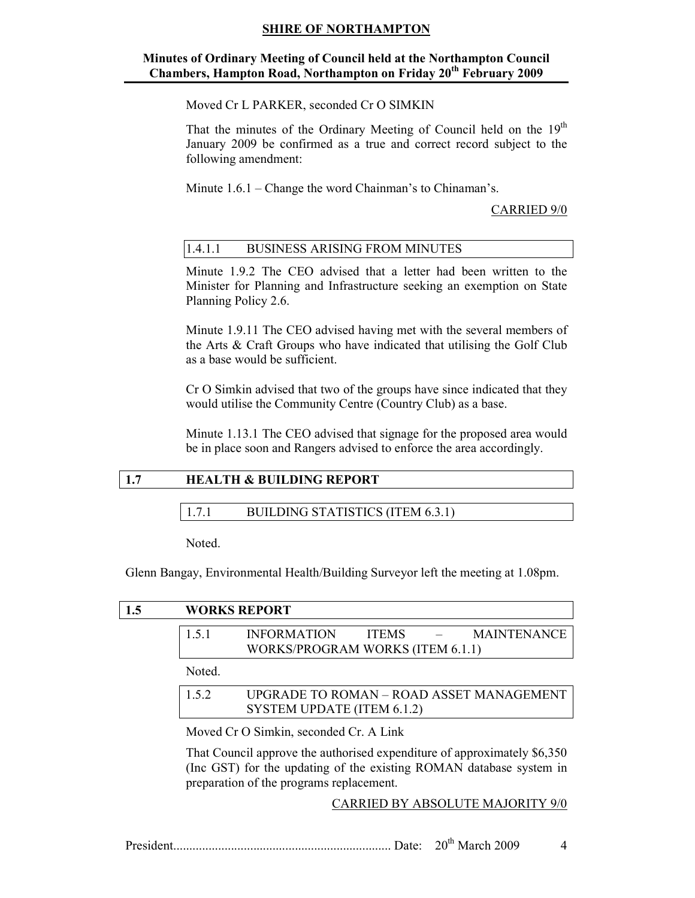# Minutes of Ordinary Meeting of Council held at the Northampton Council Chambers, Hampton Road, Northampton on Friday 20<sup>th</sup> February 2009

Moved Cr L PARKER, seconded Cr O SIMKIN

That the minutes of the Ordinary Meeting of Council held on the  $19<sup>th</sup>$ January 2009 be confirmed as a true and correct record subject to the following amendment:

Minute 1.6.1 – Change the word Chainman's to Chinaman's.

#### CARRIED 9/0

# 1.4.1.1 BUSINESS ARISING FROM MINUTES

Minute 1.9.2 The CEO advised that a letter had been written to the Minister for Planning and Infrastructure seeking an exemption on State Planning Policy 2.6.

Minute 1.9.11 The CEO advised having met with the several members of the Arts & Craft Groups who have indicated that utilising the Golf Club as a base would be sufficient.

Cr O Simkin advised that two of the groups have since indicated that they would utilise the Community Centre (Country Club) as a base.

Minute 1.13.1 The CEO advised that signage for the proposed area would be in place soon and Rangers advised to enforce the area accordingly.

# 1.7 HEALTH & BUILDING REPORT

# 1.7.1 BUILDING STATISTICS (ITEM 6.3.1)

Noted.

Glenn Bangay, Environmental Health/Building Surveyor left the meeting at 1.08pm.

| 1.5        |        | <b>WORKS REPORT</b>                                                                                                                                                                         |
|------------|--------|---------------------------------------------------------------------------------------------------------------------------------------------------------------------------------------------|
|            | 1.5.1  | <b>MAINTENANCE</b><br><b>INFORMATION</b><br><b>ITEMS</b><br>WORKS/PROGRAM WORKS (ITEM 6.1.1)                                                                                                |
|            | Noted. |                                                                                                                                                                                             |
|            | 1.5.2  | UPGRADE TO ROMAN - ROAD ASSET MANAGEMENT<br>SYSTEM UPDATE (ITEM 6.1.2)                                                                                                                      |
|            |        | Moved Cr O Simkin, seconded Cr. A Link                                                                                                                                                      |
|            |        | That Council approve the authorised expenditure of approximately \$6,350<br>(Inc GST) for the updating of the existing ROMAN database system in<br>preparation of the programs replacement. |
|            |        | CARRIED BY ABSOLUTE MAJORITY 9/0                                                                                                                                                            |
| President. |        | $20th$ March 2009                                                                                                                                                                           |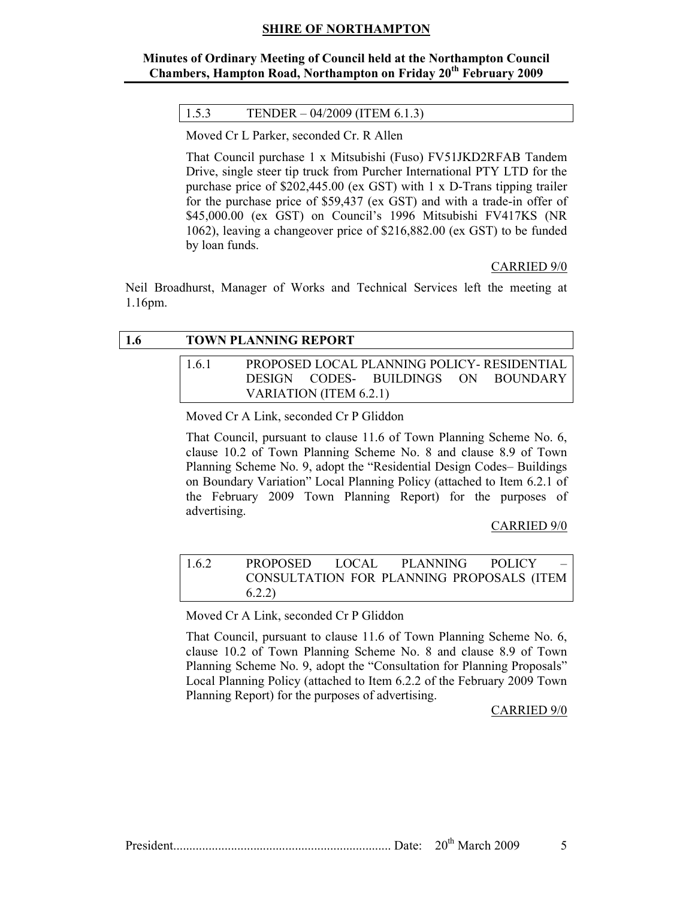# Minutes of Ordinary Meeting of Council held at the Northampton Council Chambers, Hampton Road, Northampton on Friday 20<sup>th</sup> February 2009

#### 1.5.3 TENDER – 04/2009 (ITEM 6.1.3)

Moved Cr L Parker, seconded Cr. R Allen

That Council purchase 1 x Mitsubishi (Fuso) FV51JKD2RFAB Tandem Drive, single steer tip truck from Purcher International PTY LTD for the purchase price of \$202,445.00 (ex GST) with 1 x D-Trans tipping trailer for the purchase price of \$59,437 (ex GST) and with a trade-in offer of \$45,000.00 (ex GST) on Council's 1996 Mitsubishi FV417KS (NR 1062), leaving a changeover price of \$216,882.00 (ex GST) to be funded by loan funds.

#### CARRIED 9/0

Neil Broadhurst, Manager of Works and Technical Services left the meeting at 1.16pm.

| <b>1.6</b> |     | <b>TOWN PLANNING REPORT</b>                         |                                              |  |
|------------|-----|-----------------------------------------------------|----------------------------------------------|--|
|            | 161 |                                                     | PROPOSED LOCAL PLANNING POLICY - RESIDENTIAL |  |
|            |     |                                                     | DESIGN CODES- BUILDINGS ON BOUNDARY          |  |
|            |     | VARIATION (ITEM 6.2.1)                              |                                              |  |
|            |     | Moyed $Cr \wedge$ Link seconded $Cr \times$ Cliddon |                                              |  |

Moved Cr A Link, seconded Cr P Gliddon

That Council, pursuant to clause 11.6 of Town Planning Scheme No. 6, clause 10.2 of Town Planning Scheme No. 8 and clause 8.9 of Town Planning Scheme No. 9, adopt the "Residential Design Codes– Buildings on Boundary Variation" Local Planning Policy (attached to Item 6.2.1 of the February 2009 Town Planning Report) for the purposes of advertising.

#### CARRIED 9/0

| 1.6.2 | PROPOSED LOCAL |  | PLANNING POLICY –                         |
|-------|----------------|--|-------------------------------------------|
|       |                |  | CONSULTATION FOR PLANNING PROPOSALS (ITEM |
|       | 6.2.2)         |  |                                           |

Moved Cr A Link, seconded Cr P Gliddon

That Council, pursuant to clause 11.6 of Town Planning Scheme No. 6, clause 10.2 of Town Planning Scheme No. 8 and clause 8.9 of Town Planning Scheme No. 9, adopt the "Consultation for Planning Proposals" Local Planning Policy (attached to Item 6.2.2 of the February 2009 Town Planning Report) for the purposes of advertising.

CARRIED 9/0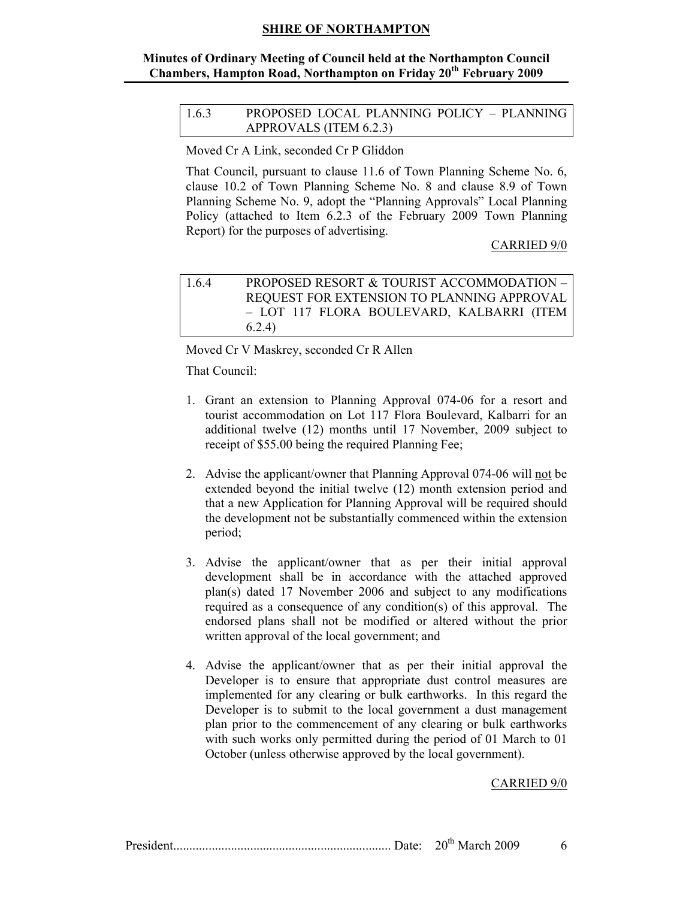# Minutes of Ordinary Meeting of Council held at the Northampton Council Chambers, Hampton Road, Northampton on Friday 20<sup>th</sup> February 2009

| 1.6.3 | PROPOSED LOCAL PLANNING POLICY - PLANNING |
|-------|-------------------------------------------|
|       | APPROVALS (ITEM 6.2.3)                    |

Moved Cr A Link, seconded Cr P Gliddon

That Council, pursuant to clause 11.6 of Town Planning Scheme No. 6, clause 10.2 of Town Planning Scheme No. 8 and clause 8.9 of Town Planning Scheme No. 9, adopt the "Planning Approvals" Local Planning Policy (attached to Item 6.2.3 of the February 2009 Town Planning Report) for the purposes of advertising.

#### CARRIED 9/0

| 164 | PROPOSED RESORT & TOURIST ACCOMMODATION -  |
|-----|--------------------------------------------|
|     | REQUEST FOR EXTENSION TO PLANNING APPROVAL |
|     | - LOT 117 FLORA BOULEVARD, KALBARRI (ITEM  |
|     | 6.2.4)                                     |

Moved Cr V Maskrey, seconded Cr R Allen

That Council:

- 1. Grant an extension to Planning Approval 074-06 for a resort and tourist accommodation on Lot 117 Flora Boulevard, Kalbarri for an additional twelve (12) months until 17 November, 2009 subject to receipt of \$55.00 being the required Planning Fee;
- 2. Advise the applicant/owner that Planning Approval 074-06 will not be extended beyond the initial twelve (12) month extension period and that a new Application for Planning Approval will be required should the development not be substantially commenced within the extension period;
- 3. Advise the applicant/owner that as per their initial approval development shall be in accordance with the attached approved plan(s) dated 17 November 2006 and subject to any modifications required as a consequence of any condition(s) of this approval. The endorsed plans shall not be modified or altered without the prior written approval of the local government; and
- 4. Advise the applicant/owner that as per their initial approval the Developer is to ensure that appropriate dust control measures are implemented for any clearing or bulk earthworks. In this regard the Developer is to submit to the local government a dust management plan prior to the commencement of any clearing or bulk earthworks with such works only permitted during the period of 01 March to 01 October (unless otherwise approved by the local government).

#### CARRIED 9/0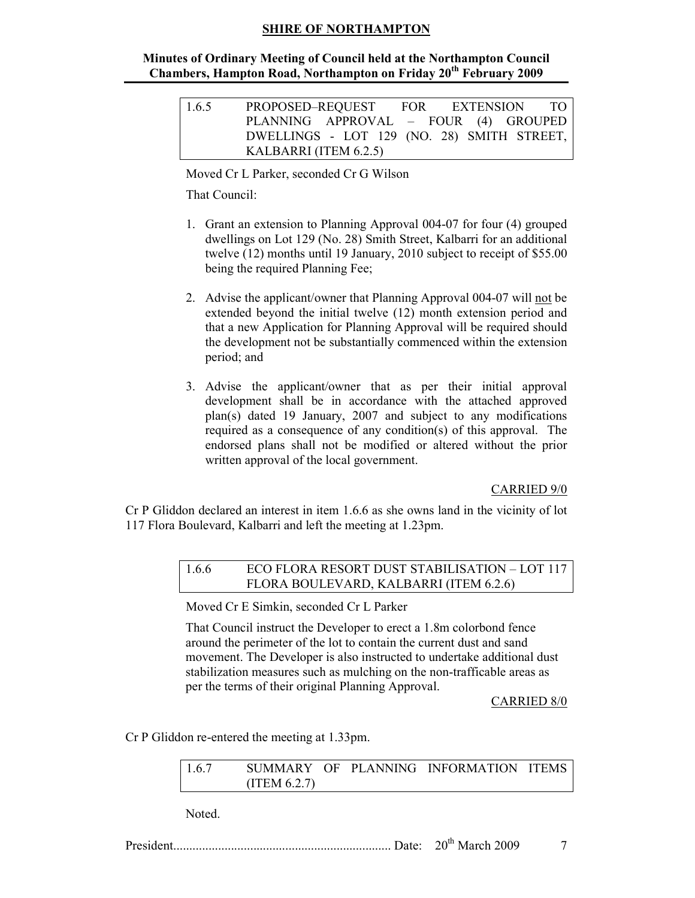#### Minutes of Ordinary Meeting of Council held at the Northampton Council Chambers, Hampton Road, Northampton on Friday 20<sup>th</sup> February 2009

| 1.6.5 | PROPOSED–REQUEST                           |  | FOR EXTENSION TO |
|-------|--------------------------------------------|--|------------------|
|       | PLANNING APPROVAL - FOUR (4) GROUPED       |  |                  |
|       | DWELLINGS - LOT 129 (NO. 28) SMITH STREET, |  |                  |
|       | KALBARRI (ITEM 6.2.5)                      |  |                  |

Moved Cr L Parker, seconded Cr G Wilson

That Council:

- 1. Grant an extension to Planning Approval 004-07 for four (4) grouped dwellings on Lot 129 (No. 28) Smith Street, Kalbarri for an additional twelve (12) months until 19 January, 2010 subject to receipt of \$55.00 being the required Planning Fee;
- 2. Advise the applicant/owner that Planning Approval 004-07 will not be extended beyond the initial twelve (12) month extension period and that a new Application for Planning Approval will be required should the development not be substantially commenced within the extension period; and
- 3. Advise the applicant/owner that as per their initial approval development shall be in accordance with the attached approved plan(s) dated 19 January, 2007 and subject to any modifications required as a consequence of any condition(s) of this approval. The endorsed plans shall not be modified or altered without the prior written approval of the local government.

CARRIED 9/0

Cr P Gliddon declared an interest in item 1.6.6 as she owns land in the vicinity of lot 117 Flora Boulevard, Kalbarri and left the meeting at 1.23pm.

# 1.6.6 ECO FLORA RESORT DUST STABILISATION – LOT 117 FLORA BOULEVARD, KALBARRI (ITEM 6.2.6)

Moved Cr E Simkin, seconded Cr L Parker

That Council instruct the Developer to erect a 1.8m colorbond fence around the perimeter of the lot to contain the current dust and sand movement. The Developer is also instructed to undertake additional dust stabilization measures such as mulching on the non-trafficable areas as per the terms of their original Planning Approval.

CARRIED 8/0

Cr P Gliddon re-entered the meeting at 1.33pm.

| 1.6.7 |               |  | SUMMARY OF PLANNING INFORMATION ITEMS |  |
|-------|---------------|--|---------------------------------------|--|
|       | (ITERM 6.2.7) |  |                                       |  |

Noted.

President.................................................................... Date: 20th March 2009 7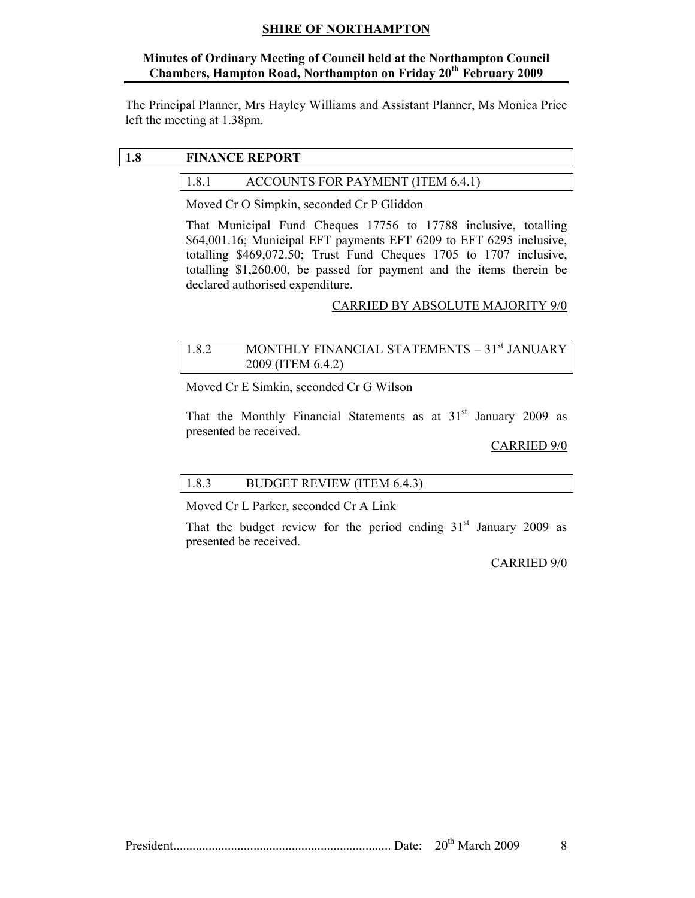# Minutes of Ordinary Meeting of Council held at the Northampton Council Chambers, Hampton Road, Northampton on Friday 20<sup>th</sup> February 2009

The Principal Planner, Mrs Hayley Williams and Assistant Planner, Ms Monica Price left the meeting at 1.38pm.

# 1.8 FINANCE REPORT

# 1.8.1 ACCOUNTS FOR PAYMENT (ITEM 6.4.1)

Moved Cr O Simpkin, seconded Cr P Gliddon

That Municipal Fund Cheques 17756 to 17788 inclusive, totalling \$64,001.16; Municipal EFT payments EFT 6209 to EFT 6295 inclusive, totalling \$469,072.50; Trust Fund Cheques 1705 to 1707 inclusive, totalling \$1,260.00, be passed for payment and the items therein be declared authorised expenditure.

# CARRIED BY ABSOLUTE MAJORITY 9/0

# 1.8.2 MONTHLY FINANCIAL STATEMENTS – 31<sup>st</sup> JANUARY 2009 (ITEM 6.4.2)

Moved Cr E Simkin, seconded Cr G Wilson

That the Monthly Financial Statements as at  $31<sup>st</sup>$  January 2009 as presented be received.

#### CARRIED 9/0

# 1.8.3 BUDGET REVIEW (ITEM 6.4.3)

Moved Cr L Parker, seconded Cr A Link

That the budget review for the period ending  $31<sup>st</sup>$  January 2009 as presented be received.

#### CARRIED 9/0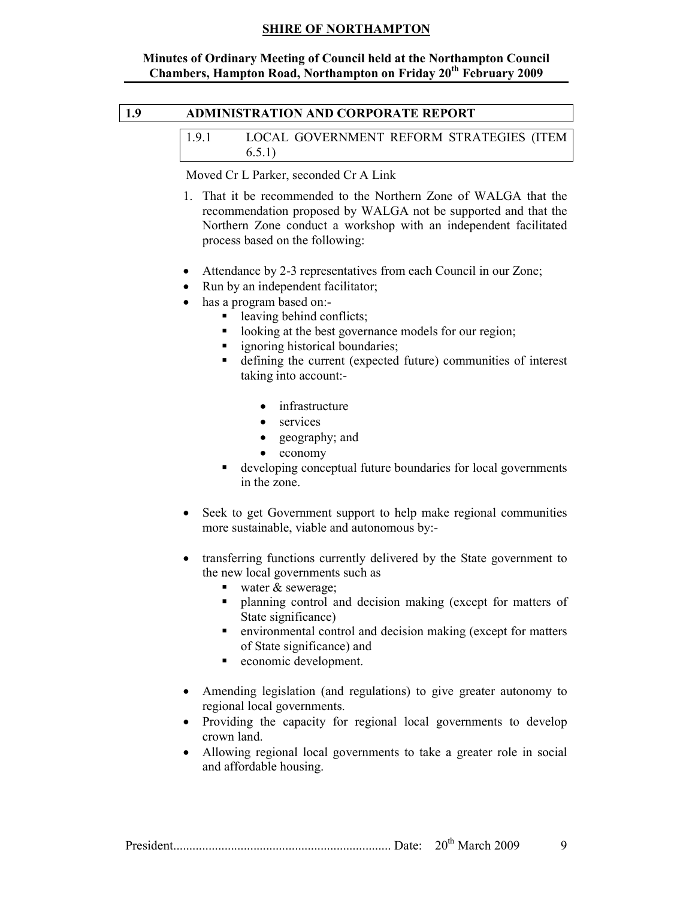#### Minutes of Ordinary Meeting of Council held at the Northampton Council Chambers, Hampton Road, Northampton on Friday 20<sup>th</sup> February 2009

# 1.9 ADMINISTRATION AND CORPORATE REPORT

| 1.9.1 | LOCAL GOVERNMENT REFORM STRATEGIES (ITEM |  |  |
|-------|------------------------------------------|--|--|
|       | 6.5.1)                                   |  |  |

Moved Cr L Parker, seconded Cr A Link

- 1. That it be recommended to the Northern Zone of WALGA that the recommendation proposed by WALGA not be supported and that the Northern Zone conduct a workshop with an independent facilitated process based on the following:
- Attendance by 2-3 representatives from each Council in our Zone;
- Run by an independent facilitator;
- has a program based on:
	- leaving behind conflicts;
	- looking at the best governance models for our region;
	- **ignoring historical boundaries;**
	- defining the current (expected future) communities of interest taking into account:-
		- infrastructure
		- services
		- geography; and
		- economy
	- developing conceptual future boundaries for local governments in the zone.
- Seek to get Government support to help make regional communities more sustainable, viable and autonomous by:-
- transferring functions currently delivered by the State government to the new local governments such as
	- water  $&$  sewerage;
	- **•** planning control and decision making (except for matters of State significance)
	- environmental control and decision making (except for matters of State significance) and
	- **exercise exercises** economic development.
- Amending legislation (and regulations) to give greater autonomy to regional local governments.
- Providing the capacity for regional local governments to develop crown land.
- Allowing regional local governments to take a greater role in social and affordable housing.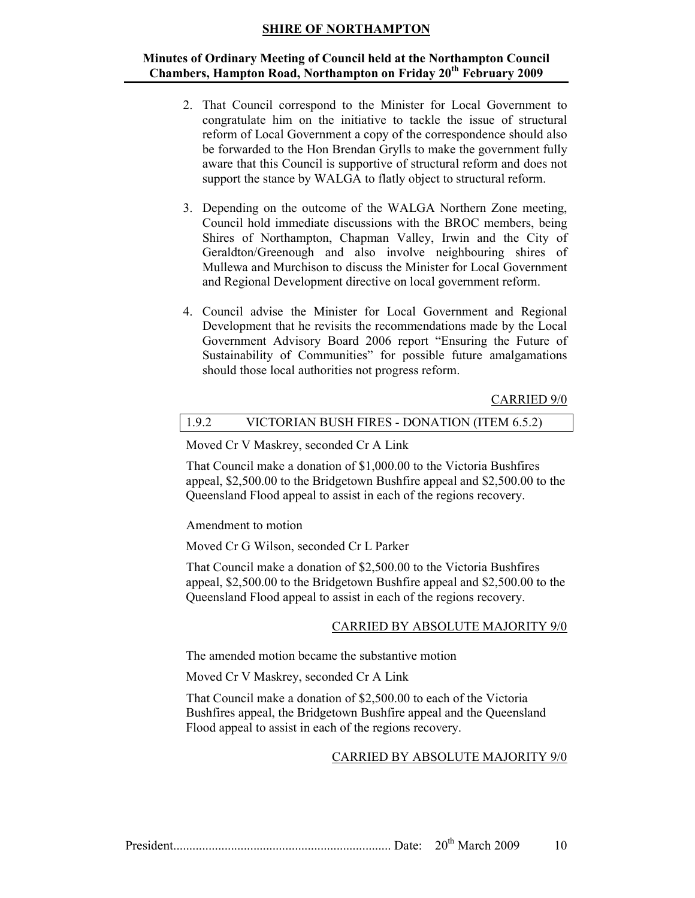#### Minutes of Ordinary Meeting of Council held at the Northampton Council Chambers, Hampton Road, Northampton on Friday 20<sup>th</sup> February 2009

- 2. That Council correspond to the Minister for Local Government to congratulate him on the initiative to tackle the issue of structural reform of Local Government a copy of the correspondence should also be forwarded to the Hon Brendan Grylls to make the government fully aware that this Council is supportive of structural reform and does not support the stance by WALGA to flatly object to structural reform.
- 3. Depending on the outcome of the WALGA Northern Zone meeting, Council hold immediate discussions with the BROC members, being Shires of Northampton, Chapman Valley, Irwin and the City of Geraldton/Greenough and also involve neighbouring shires of Mullewa and Murchison to discuss the Minister for Local Government and Regional Development directive on local government reform.
- 4. Council advise the Minister for Local Government and Regional Development that he revisits the recommendations made by the Local Government Advisory Board 2006 report "Ensuring the Future of Sustainability of Communities" for possible future amalgamations should those local authorities not progress reform.

#### CARRIED 9/0

#### 1.9.2 VICTORIAN BUSH FIRES - DONATION (ITEM 6.5.2)

Moved Cr V Maskrey, seconded Cr A Link

That Council make a donation of \$1,000.00 to the Victoria Bushfires appeal, \$2,500.00 to the Bridgetown Bushfire appeal and \$2,500.00 to the Queensland Flood appeal to assist in each of the regions recovery.

Amendment to motion

Moved Cr G Wilson, seconded Cr L Parker

That Council make a donation of \$2,500.00 to the Victoria Bushfires appeal, \$2,500.00 to the Bridgetown Bushfire appeal and \$2,500.00 to the Queensland Flood appeal to assist in each of the regions recovery.

#### CARRIED BY ABSOLUTE MAJORITY 9/0

The amended motion became the substantive motion

Moved Cr V Maskrey, seconded Cr A Link

That Council make a donation of \$2,500.00 to each of the Victoria Bushfires appeal, the Bridgetown Bushfire appeal and the Queensland Flood appeal to assist in each of the regions recovery.

#### CARRIED BY ABSOLUTE MAJORITY 9/0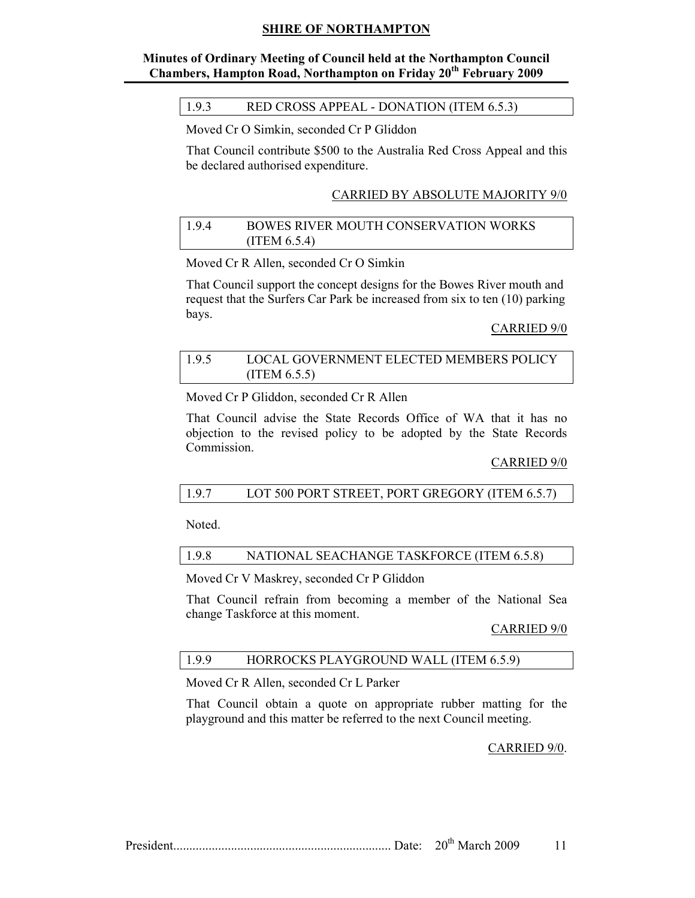# Minutes of Ordinary Meeting of Council held at the Northampton Council Chambers, Hampton Road, Northampton on Friday 20<sup>th</sup> February 2009

#### 1.9.3 RED CROSS APPEAL - DONATION (ITEM 6.5.3)

Moved Cr O Simkin, seconded Cr P Gliddon

That Council contribute \$500 to the Australia Red Cross Appeal and this be declared authorised expenditure.

#### CARRIED BY ABSOLUTE MAJORITY 9/0

#### 1.9.4 BOWES RIVER MOUTH CONSERVATION WORKS (ITEM 6.5.4)

Moved Cr R Allen, seconded Cr O Simkin

That Council support the concept designs for the Bowes River mouth and request that the Surfers Car Park be increased from six to ten (10) parking bays.

#### CARRIED 9/0

#### 1.9.5 LOCAL GOVERNMENT ELECTED MEMBERS POLICY (ITEM 6.5.5)

Moved Cr P Gliddon, seconded Cr R Allen

That Council advise the State Records Office of WA that it has no objection to the revised policy to be adopted by the State Records Commission.

#### CARRIED 9/0

#### 1.9.7 LOT 500 PORT STREET, PORT GREGORY (ITEM 6.5.7)

Noted.

#### 1.9.8 NATIONAL SEACHANGE TASKFORCE (ITEM 6.5.8)

Moved Cr V Maskrey, seconded Cr P Gliddon

That Council refrain from becoming a member of the National Sea change Taskforce at this moment.

#### CARRIED 9/0

# 1.9.9 HORROCKS PLAYGROUND WALL (ITEM 6.5.9)

Moved Cr R Allen, seconded Cr L Parker

That Council obtain a quote on appropriate rubber matting for the playground and this matter be referred to the next Council meeting.

#### CARRIED 9/0.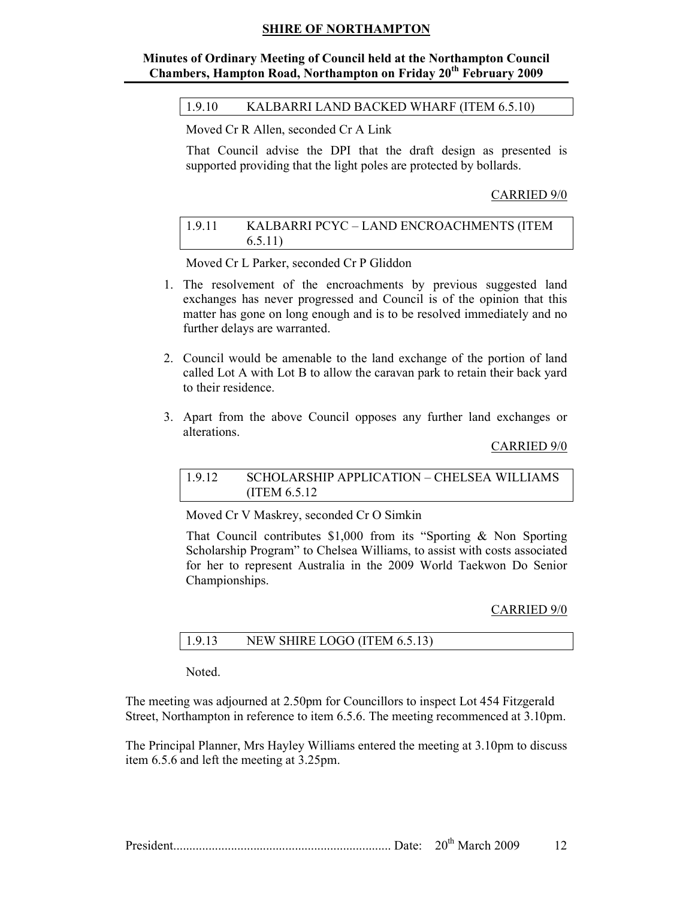# Minutes of Ordinary Meeting of Council held at the Northampton Council Chambers, Hampton Road, Northampton on Friday 20<sup>th</sup> February 2009

1.9.10 KALBARRI LAND BACKED WHARF (ITEM 6.5.10)

Moved Cr R Allen, seconded Cr A Link

That Council advise the DPI that the draft design as presented is supported providing that the light poles are protected by bollards.

#### CARRIED 9/0

| 1.9.11 | KALBARRI PCYC - LAND ENCROACHMENTS (ITEM |
|--------|------------------------------------------|
|        | 6.5.11)                                  |

Moved Cr L Parker, seconded Cr P Gliddon

- 1. The resolvement of the encroachments by previous suggested land exchanges has never progressed and Council is of the opinion that this matter has gone on long enough and is to be resolved immediately and no further delays are warranted.
- 2. Council would be amenable to the land exchange of the portion of land called Lot A with Lot B to allow the caravan park to retain their back yard to their residence.
- 3. Apart from the above Council opposes any further land exchanges or alterations.

#### CARRIED 9/0

#### 1.9.12 SCHOLARSHIP APPLICATION – CHELSEA WILLIAMS (ITEM 6.5.12

Moved Cr V Maskrey, seconded Cr O Simkin

That Council contributes \$1,000 from its "Sporting & Non Sporting Scholarship Program" to Chelsea Williams, to assist with costs associated for her to represent Australia in the 2009 World Taekwon Do Senior Championships.

#### CARRIED 9/0

| 1.9.13 | NEW SHIRE LOGO (ITEM 6.5.13) |
|--------|------------------------------|
|--------|------------------------------|

Noted.

The meeting was adjourned at 2.50pm for Councillors to inspect Lot 454 Fitzgerald Street, Northampton in reference to item 6.5.6. The meeting recommenced at 3.10pm.

The Principal Planner, Mrs Hayley Williams entered the meeting at 3.10pm to discuss item 6.5.6 and left the meeting at 3.25pm.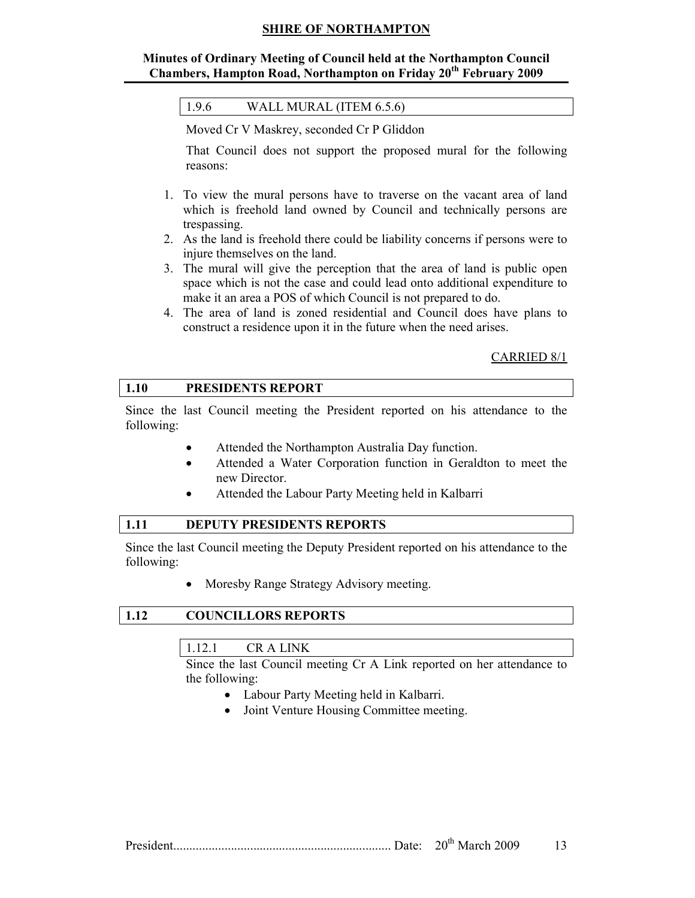# Minutes of Ordinary Meeting of Council held at the Northampton Council Chambers, Hampton Road, Northampton on Friday 20<sup>th</sup> February 2009

| 1.9.6 | WALL MURAL (ITEM 6.5.6) |
|-------|-------------------------|
|-------|-------------------------|

Moved Cr V Maskrey, seconded Cr P Gliddon

That Council does not support the proposed mural for the following reasons:

- 1. To view the mural persons have to traverse on the vacant area of land which is freehold land owned by Council and technically persons are trespassing.
- 2. As the land is freehold there could be liability concerns if persons were to injure themselves on the land.
- 3. The mural will give the perception that the area of land is public open space which is not the case and could lead onto additional expenditure to make it an area a POS of which Council is not prepared to do.
- 4. The area of land is zoned residential and Council does have plans to construct a residence upon it in the future when the need arises.

#### CARRIED 8/1

#### 1.10 PRESIDENTS REPORT

Since the last Council meeting the President reported on his attendance to the following:

- Attended the Northampton Australia Day function.
- Attended a Water Corporation function in Geraldton to meet the new Director.
- Attended the Labour Party Meeting held in Kalbarri

# 1.11 DEPUTY PRESIDENTS REPORTS

Since the last Council meeting the Deputy President reported on his attendance to the following:

• Moresby Range Strategy Advisory meeting.

#### 1.12 COUNCILLORS REPORTS

# 1.12.1 CR A LINK

Since the last Council meeting Cr A Link reported on her attendance to the following:

- Labour Party Meeting held in Kalbarri.
- Joint Venture Housing Committee meeting.